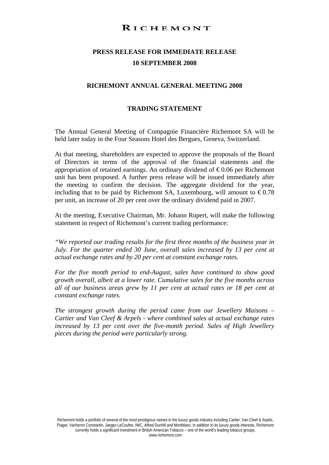## **RICHEMONT**

## **PRESS RELEASE FOR IMMEDIATE RELEASE 10 SEPTEMBER 2008**

## **RICHEMONT ANNUAL GENERAL MEETING 2008**

## **TRADING STATEMENT**

The Annual General Meeting of Compagnie Financière Richemont SA will be held later today in the Four Seasons Hotel des Bergues, Geneva, Switzerland.

At that meeting, shareholders are expected to approve the proposals of the Board of Directors in terms of the approval of the financial statements and the appropriation of retained earnings. An ordinary dividend of  $\epsilon$ 0.06 per Richemont unit has been proposed. A further press release will be issued immediately after the meeting to confirm the decision. The aggregate dividend for the year, including that to be paid by Richemont SA, Luxembourg, will amount to  $\epsilon 0.78$ per unit, an increase of 20 per cent over the ordinary dividend paid in 2007.

At the meeting, Executive Chairman, Mr. Johann Rupert, will make the following statement in respect of Richemont's current trading performance:

*"We reported our trading results for the first three months of the business year in July. For the quarter ended 30 June, overall sales increased by 13 per cent at actual exchange rates and by 20 per cent at constant exchange rates.* 

*For the five month period to end-August, sales have continued to show good growth overall, albeit at a lower rate. Cumulative sales for the five months across all of our business areas grew by 11 per cent at actual rates or 18 per cent at constant exchange rates.* 

*The strongest growth during the period came from our Jewellery Maisons – Cartier and Van Cleef & Arpels - where combined sales at actual exchange rates increased by 13 per cent over the five-month period. Sales of High Jewellery pieces during the period were particularly strong.*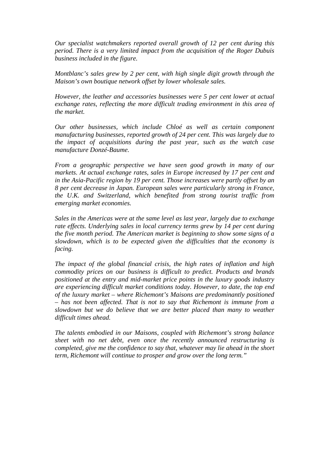*Our specialist watchmakers reported overall growth of 12 per cent during this period. There is a very limited impact from the acquisition of the Roger Dubuis business included in the figure.* 

*Montblanc's sales grew by 2 per cent, with high single digit growth through the Maison's own boutique network offset by lower wholesale sales.* 

*However, the leather and accessories businesses were 5 per cent lower at actual exchange rates, reflecting the more difficult trading environment in this area of the market.* 

*Our other businesses, which include Chloé as well as certain component manufacturing businesses, reported growth of 24 per cent. This was largely due to the impact of acquisitions during the past year, such as the watch case manufacture Donzé-Baume.* 

*From a geographic perspective we have seen good growth in many of our markets. At actual exchange rates, sales in Europe increased by 17 per cent and in the Asia-Pacific region by 19 per cent. Those increases were partly offset by an 8 per cent decrease in Japan. European sales were particularly strong in France, the U.K. and Switzerland, which benefited from strong tourist traffic from emerging market economies.* 

*Sales in the Americas were at the same level as last year, largely due to exchange rate effects. Underlying sales in local currency terms grew by 14 per cent during the five month period. The American market is beginning to show some signs of a slowdown, which is to be expected given the difficulties that the economy is facing.* 

*The impact of the global financial crisis, the high rates of inflation and high commodity prices on our business is difficult to predict. Products and brands positioned at the entry and mid-market price points in the luxury goods industry are experiencing difficult market conditions today. However, to date, the top end of the luxury market – where Richemont's Maisons are predominantly positioned – has not been affected. That is not to say that Richemont is immune from a slowdown but we do believe that we are better placed than many to weather difficult times ahead.* 

*The talents embodied in our Maisons, coupled with Richemont's strong balance sheet with no net debt, even once the recently announced restructuring is completed, give me the confidence to say that, whatever may lie ahead in the short term, Richemont will continue to prosper and grow over the long term."*